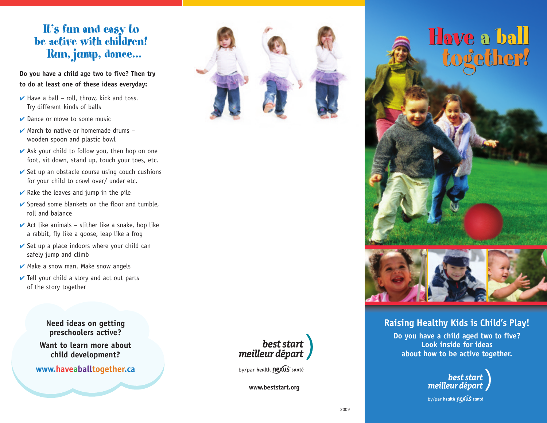# It's fun and easy to be active with children! Run, jump, dance...

**Do you have a child age two to five? Then try to do at least one of these ideas everyday:**

- $\vee$  Have a ball roll, throw, kick and toss. Try different kinds of balls
- $\vee$  Dance or move to some music
- $\vee$  March to native or homemade drums wooden spoon and plastic bowl
- $\vee$  Ask your child to follow you, then hop on one foot, sit down, stand up, touch your toes, etc.
- $\vee$  Set up an obstacle course using couch cushions for your child to crawl over/ under etc.
- $\vee$  Rake the leaves and jump in the pile
- $\vee$  Spread some blankets on the floor and tumble, roll and balance
- $\vee$  Act like animals slither like a snake, hop like a rabbit, fly like a goose, leap like a frog
- $\vee$  Set up a place indoors where your child can safely jump and climb
- $\vee$  Make a snow man. Make snow angels
- $\vee$  Tell your child a story and act out parts of the story together

**Need ideas on getting preschoolers active?**

**Want to learn more about child development?**

**www.haveaballtogether.ca**



# Have a ball Have a ball together! together!



### **Raising Healthy Kids is Child's Play!**

**Do you have a child aged two to five? Look inside for ideas about how to be active together.**



by/par health nexus santé



by/par health nexus santé

**www.beststart.org**